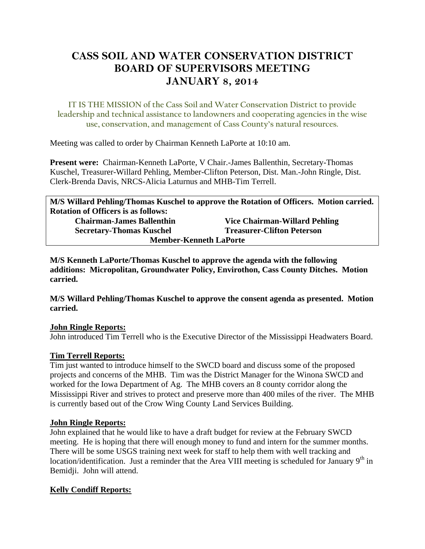# **CASS SOIL AND WATER CONSERVATION DISTRICT BOARD OF SUPERVISORS MEETING JANUARY 8, 2014**

**IT IS THE MISSION of the Cass Soil and Water Conservation District to provide leadership and technical assistance to landowners and cooperating agencies in the wise use, conservation, and management of Cass County's natural resources.**

Meeting was called to order by Chairman Kenneth LaPorte at 10:10 am.

**Present were:** Chairman-Kenneth LaPorte, V Chair.-James Ballenthin, Secretary-Thomas Kuschel, Treasurer-Willard Pehling, Member-Clifton Peterson, Dist. Man.-John Ringle, Dist. Clerk-Brenda Davis, NRCS-Alicia Laturnus and MHB-Tim Terrell.

**M/S Willard Pehling/Thomas Kuschel to approve the Rotation of Officers. Motion carried. Rotation of Officers is as follows: Chairman-James Ballenthin Vice Chairman-Willard Pehling Secretary-Thomas Kuschel Treasurer-Clifton Peterson Member-Kenneth LaPorte**

**M/S Kenneth LaPorte/Thomas Kuschel to approve the agenda with the following additions: Micropolitan, Groundwater Policy, Envirothon, Cass County Ditches. Motion carried.**

**M/S Willard Pehling/Thomas Kuschel to approve the consent agenda as presented. Motion carried.**

## **John Ringle Reports:**

John introduced Tim Terrell who is the Executive Director of the Mississippi Headwaters Board.

## **Tim Terrell Reports:**

Tim just wanted to introduce himself to the SWCD board and discuss some of the proposed projects and concerns of the MHB. Tim was the District Manager for the Winona SWCD and worked for the Iowa Department of Ag. The MHB covers an 8 county corridor along the Mississippi River and strives to protect and preserve more than 400 miles of the river. The MHB is currently based out of the Crow Wing County Land Services Building.

## **John Ringle Reports:**

John explained that he would like to have a draft budget for review at the February SWCD meeting. He is hoping that there will enough money to fund and intern for the summer months. There will be some USGS training next week for staff to help them with well tracking and location/identification. Just a reminder that the Area VIII meeting is scheduled for January 9<sup>th</sup> in Bemidji. John will attend.

## **Kelly Condiff Reports:**